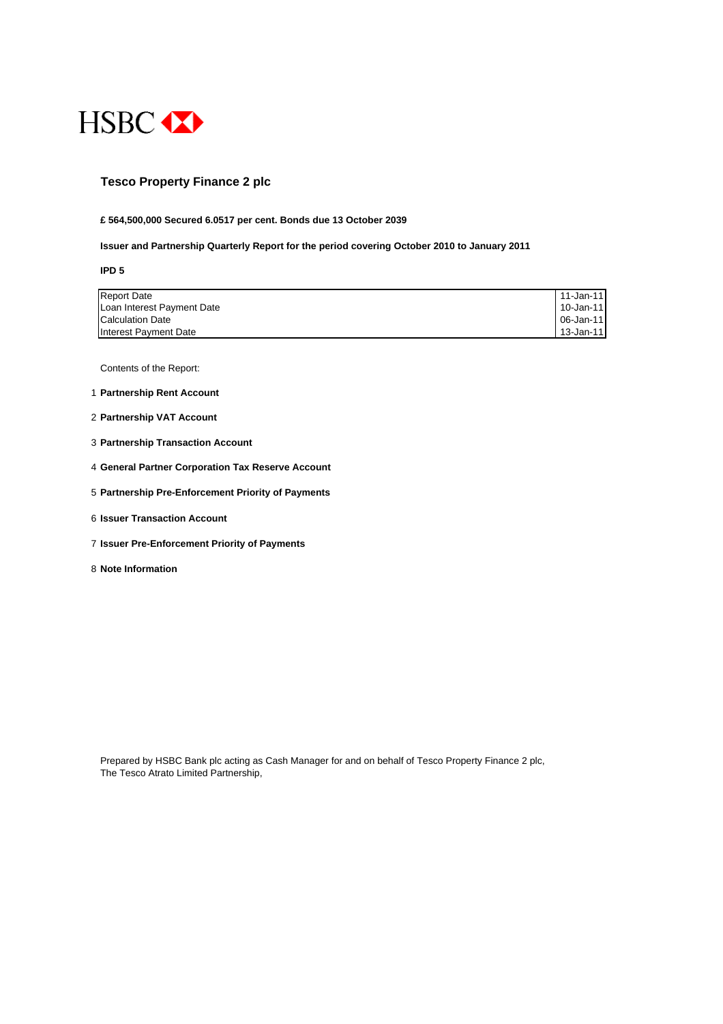

### **Tesco Property Finance 2 plc**

#### **£ 564,500,000 Secured 6.0517 per cent. Bonds due 13 October 2039**

#### **Issuer and Partnership Quarterly Report for the period covering October 2010 to January 2011**

**IPD 5**

| <b>Report Date</b>         | 11-Jan-11 |
|----------------------------|-----------|
| Loan Interest Payment Date | 10-Jan-11 |
| <b>Calculation Date</b>    | 06-Jan-11 |
| Interest Payment Date      | 13-Jan-11 |

Contents of the Report:

- 1 **Partnership Rent Account**
- 2 **Partnership VAT Account**
- 3 **Partnership Transaction Account**
- 4 **General Partner Corporation Tax Reserve Account**
- 5 **Partnership Pre-Enforcement Priority of Payments**
- 6 **Issuer Transaction Account**
- 7 **Issuer Pre-Enforcement Priority of Payments**
- 8 **Note Information**

Prepared by HSBC Bank plc acting as Cash Manager for and on behalf of Tesco Property Finance 2 plc, The Tesco Atrato Limited Partnership,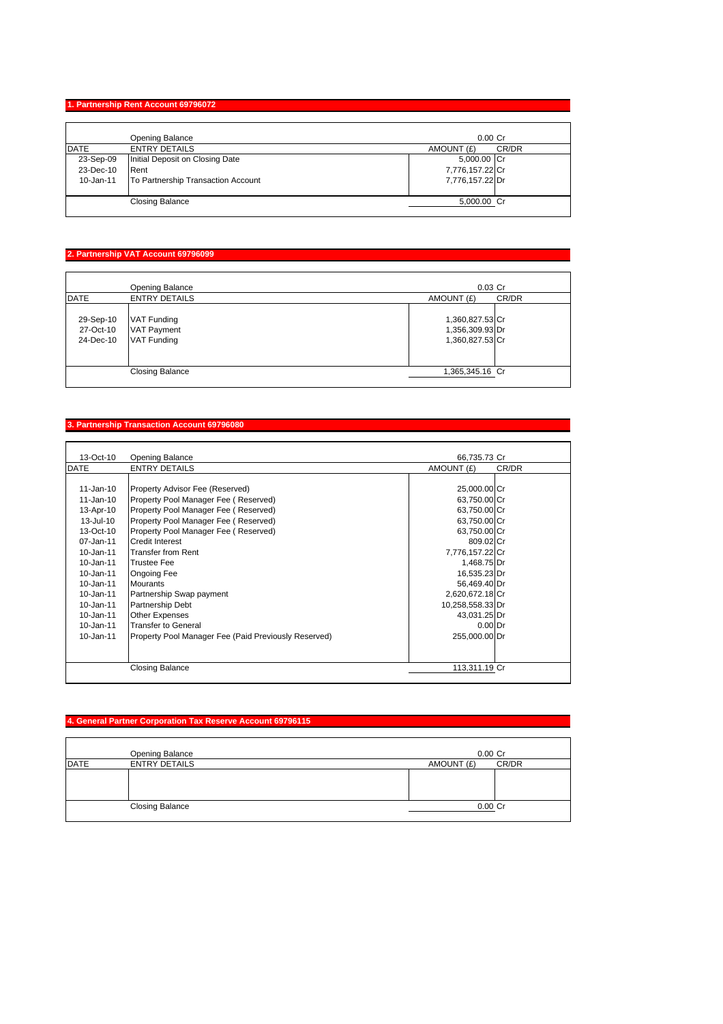### **1. Partnership Rent Account 69796072**

|             | Opening Balance                    | $0.00$ Cr           |
|-------------|------------------------------------|---------------------|
| <b>DATE</b> | <b>ENTRY DETAILS</b>               | CR/DR<br>AMOUNT (£) |
| 23-Sep-09   | Initial Deposit on Closing Date    | 5,000.00 Cr         |
| 23-Dec-10   | Rent                               | 7,776,157.22 Cr     |
| 10-Jan-11   | To Partnership Transaction Account | 7,776,157.22 Dr     |
|             | <b>Closing Balance</b>             | 5,000.00 Cr         |

# **2. Partnership VAT Account 69796099**

|                                     | Opening Balance                                                | $0.03$ Cr                                             |       |
|-------------------------------------|----------------------------------------------------------------|-------------------------------------------------------|-------|
| <b>DATE</b>                         | <b>ENTRY DETAILS</b>                                           | AMOUNT (£)                                            | CR/DR |
| 29-Sep-10<br>27-Oct-10<br>24-Dec-10 | <b>VAT Funding</b><br><b>VAT Payment</b><br><b>VAT Funding</b> | 1,360,827.53 Cr<br>1,356,309.93 Dr<br>1,360,827.53 Cr |       |
|                                     | <b>Closing Balance</b>                                         | 1,365,345.16 Cr                                       |       |

### **3. Partnership Transaction Account 69796080**

| 13-Oct-10     | <b>Opening Balance</b>                               | 66,735.73 Cr     |       |
|---------------|------------------------------------------------------|------------------|-------|
| <b>DATE</b>   | <b>ENTRY DETAILS</b>                                 | AMOUNT (£)       | CR/DR |
|               |                                                      |                  |       |
| 11-Jan-10     | Property Advisor Fee (Reserved)                      | 25,000.00 Cr     |       |
| 11-Jan-10     | Property Pool Manager Fee (Reserved)                 | 63,750.00 Cr     |       |
| 13-Apr-10     | Property Pool Manager Fee (Reserved)                 | 63,750.00 Cr     |       |
| 13-Jul-10     | Property Pool Manager Fee (Reserved)                 | 63,750.00 Cr     |       |
| 13-Oct-10     | Property Pool Manager Fee (Reserved)                 | 63,750.00 Cr     |       |
| 07-Jan-11     | <b>Credit Interest</b>                               | 809.02 Cr        |       |
| $10 - Jan-11$ | Transfer from Rent                                   | 7,776,157.22 Cr  |       |
| 10-Jan-11     | <b>Trustee Fee</b>                                   | 1,468.75 Dr      |       |
| 10-Jan-11     | <b>Ongoing Fee</b>                                   | 16,535.23 Dr     |       |
| 10-Jan-11     | <b>Mourants</b>                                      | 56,469.40 Dr     |       |
| 10-Jan-11     | Partnership Swap payment                             | 2,620,672.18 Cr  |       |
| 10-Jan-11     | <b>Partnership Debt</b>                              | 10,258,558.33 Dr |       |
| $10 - Jan-11$ | <b>Other Expenses</b>                                | 43,031.25 Dr     |       |
| 10-Jan-11     | Transfer to General                                  | $0.00$ Dr        |       |
| 10-Jan-11     | Property Pool Manager Fee (Paid Previously Reserved) | 255,000.00 Dr    |       |
|               |                                                      |                  |       |
|               | <b>Closing Balance</b>                               | 113,311.19 Cr    |       |

# **4. General Partner Corporation Tax Reserve Account 69796115**

|      | <b>Opening Balance</b> | $0.00$ Cr           |
|------|------------------------|---------------------|
| DATE | <b>ENTRY DETAILS</b>   | CR/DR<br>AMOUNT (£) |
|      |                        |                     |
|      |                        |                     |
|      |                        |                     |
|      | <b>Closing Balance</b> | $0.00$ Cr           |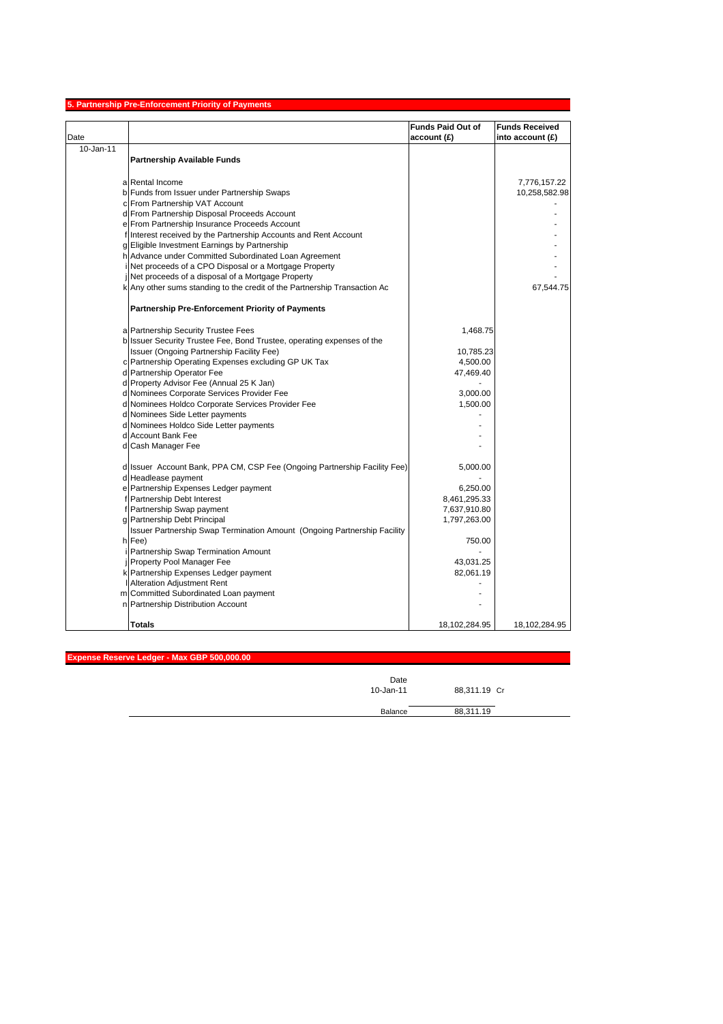| Date      |                                                                             | <b>Funds Paid Out of</b><br>account (£) | <b>Funds Received</b><br>into account $(E)$ |
|-----------|-----------------------------------------------------------------------------|-----------------------------------------|---------------------------------------------|
| 10-Jan-11 |                                                                             |                                         |                                             |
|           | <b>Partnership Available Funds</b>                                          |                                         |                                             |
|           | a Rental Income                                                             |                                         | 7,776,157.22                                |
|           | b Funds from Issuer under Partnership Swaps                                 |                                         | 10,258,582.98                               |
|           | c From Partnership VAT Account                                              |                                         |                                             |
|           | d From Partnership Disposal Proceeds Account                                |                                         |                                             |
|           | e From Partnership Insurance Proceeds Account                               |                                         |                                             |
|           | f Interest received by the Partnership Accounts and Rent Account            |                                         |                                             |
|           | g Eligible Investment Earnings by Partnership                               |                                         |                                             |
|           | h Advance under Committed Subordinated Loan Agreement                       |                                         |                                             |
|           | i Net proceeds of a CPO Disposal or a Mortgage Property                     |                                         |                                             |
|           | Net proceeds of a disposal of a Mortgage Property                           |                                         |                                             |
|           | k Any other sums standing to the credit of the Partnership Transaction Ac   |                                         | 67,544.75                                   |
|           | <b>Partnership Pre-Enforcement Priority of Payments</b>                     |                                         |                                             |
|           | a Partnership Security Trustee Fees                                         | 1,468.75                                |                                             |
|           | b Issuer Security Trustee Fee, Bond Trustee, operating expenses of the      |                                         |                                             |
|           | Issuer (Ongoing Partnership Facility Fee)                                   | 10,785.23                               |                                             |
|           | c Partnership Operating Expenses excluding GP UK Tax                        | 4,500.00                                |                                             |
|           | d Partnership Operator Fee                                                  | 47,469.40                               |                                             |
|           | d Property Advisor Fee (Annual 25 K Jan)                                    |                                         |                                             |
|           | d Nominees Corporate Services Provider Fee                                  | 3,000.00                                |                                             |
|           | d Nominees Holdco Corporate Services Provider Fee                           | 1,500.00                                |                                             |
|           | d Nominees Side Letter payments                                             |                                         |                                             |
|           | d Nominees Holdco Side Letter payments                                      |                                         |                                             |
|           | d Account Bank Fee                                                          |                                         |                                             |
|           | d Cash Manager Fee                                                          |                                         |                                             |
|           | d Issuer Account Bank, PPA CM, CSP Fee (Ongoing Partnership Facility Fee)   | 5,000.00                                |                                             |
|           | d Headlease payment                                                         |                                         |                                             |
|           | e Partnership Expenses Ledger payment                                       | 6,250.00                                |                                             |
|           | f Partnership Debt Interest                                                 | 8,461,295.33                            |                                             |
|           | f Partnership Swap payment                                                  | 7,637,910.80                            |                                             |
|           | g Partnership Debt Principal                                                | 1,797,263.00                            |                                             |
|           | Issuer Partnership Swap Termination Amount (Ongoing Partnership Facility    |                                         |                                             |
|           | h Fee)                                                                      | 750.00                                  |                                             |
|           | Partnership Swap Termination Amount                                         |                                         |                                             |
|           |                                                                             | 43,031.25                               |                                             |
|           | Property Pool Manager Fee                                                   |                                         |                                             |
|           | k Partnership Expenses Ledger payment                                       | 82,061.19                               |                                             |
|           | <b>Alteration Adjustment Rent</b>                                           |                                         |                                             |
|           | m Committed Subordinated Loan payment<br>n Partnership Distribution Account |                                         |                                             |
|           |                                                                             |                                         |                                             |
|           | <b>Totals</b>                                                               | 18,102,284.95                           | 18,102,284.95                               |

**Expense Reserve Ledger - Max GBP 500,000.00**

| Date      |              |
|-----------|--------------|
| 10-Jan-11 | 88,311.19 Cr |
| Balance   | 88,311.19    |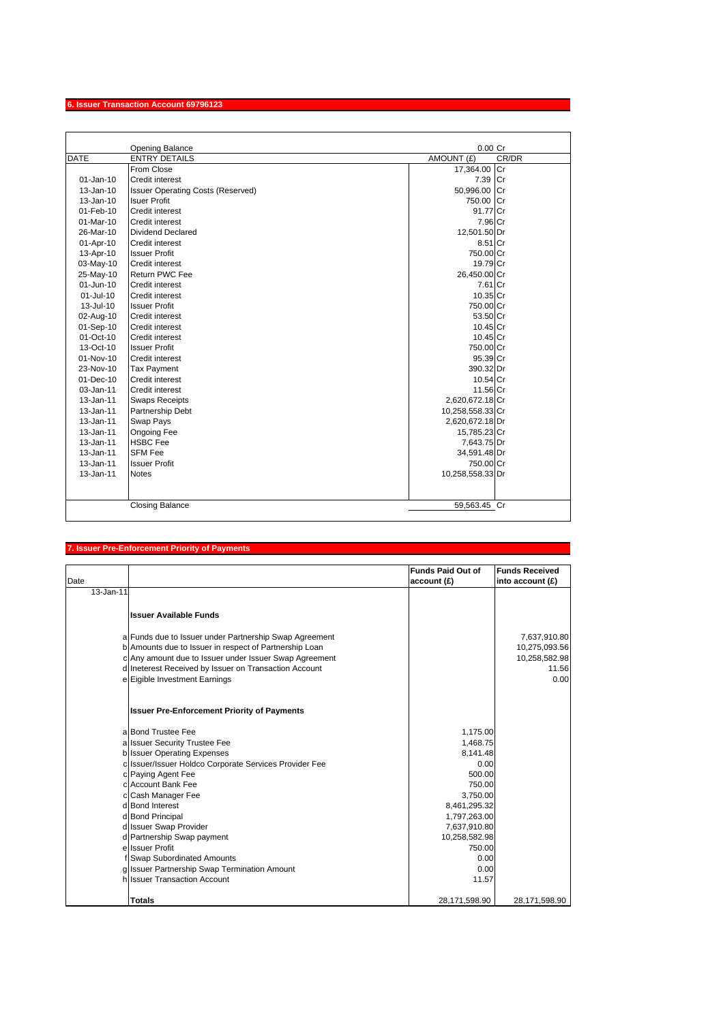# **6. Issuer Transaction Account 69796123**

|               | <b>Opening Balance</b>                   | $0.00$ Cr           |
|---------------|------------------------------------------|---------------------|
| <b>DATE</b>   | <b>ENTRY DETAILS</b>                     | CR/DR<br>AMOUNT (£) |
|               | From Close                               | 17,364.00 Cr        |
| $01 - Jan-10$ | Credit interest                          | 7.39<br>lCr         |
| 13-Jan-10     | <b>Issuer Operating Costs (Reserved)</b> | 50,996.00 Cr        |
| $13 - Jan-10$ | <b>Isuer Profit</b>                      | 750.00 Cr           |
| 01-Feb-10     | Credit interest                          | 91.77 Cr            |
| $01-Mar-10$   | Credit interest                          | 7.96 Cr             |
| 26-Mar-10     | Dividend Declared                        | 12,501.50 Dr        |
| 01-Apr-10     | Credit interest                          | 8.51 Cr             |
| 13-Apr-10     | <b>Issuer Profit</b>                     | 750.00 Cr           |
| 03-May-10     | <b>Credit interest</b>                   | 19.79 Cr            |
| 25-May-10     | Return PWC Fee                           | 26,450.00 Cr        |
| $01$ -Jun-10  | Credit interest                          | 7.61 Cr             |
| 01-Jul-10     | Credit interest                          | 10.35 Cr            |
| 13-Jul-10     | <b>Issuer Profit</b>                     | 750.00 Cr           |
| 02-Aug-10     | Credit interest                          | 53.50 Cr            |
| 01-Sep-10     | Credit interest                          | $10.45$ Cr          |
| 01-Oct-10     | Credit interest                          | 10.45 Cr            |
| $13-Oct-10$   | <b>Issuer Profit</b>                     | 750.00 Cr           |
| 01-Nov-10     | <b>Credit interest</b>                   | 95.39 Cr            |
| 23-Nov-10     | <b>Tax Payment</b>                       | 390.32 Dr           |
| $01 - Dec-10$ | Credit interest                          | 10.54 Cr            |
| 03-Jan-11     | <b>Credit interest</b>                   | 11.56 Cr            |
| 13-Jan-11     | <b>Swaps Receipts</b>                    | 2,620,672.18 Cr     |
| 13-Jan-11     | Partnership Debt                         | 10,258,558.33 Cr    |
| 13-Jan-11     | Swap Pays                                | 2,620,672.18 Dr     |
| 13-Jan-11     | <b>Ongoing Fee</b>                       | 15,785.23 Cr        |
| 13-Jan-11     | <b>HSBC Fee</b>                          | 7,643.75 Dr         |
| 13-Jan-11     | <b>SFM Fee</b>                           | 34,591.48 Dr        |
| $13 - Jan-11$ | <b>Issuer Profit</b>                     | 750.00 Cr           |
| 13-Jan-11     | <b>Notes</b>                             | 10,258,558.33 Dr    |
|               |                                          |                     |
|               |                                          |                     |
|               | <b>Closing Balance</b>                   | 59,563.45 Cr        |

### **7. Issuer Pre-Enforcement Priority of Payments**

|           |                                                        | <b>Funds Paid Out of</b> | <b>Funds Received</b> |
|-----------|--------------------------------------------------------|--------------------------|-----------------------|
| Date      |                                                        | account (£)              | into account (£)      |
| 13-Jan-11 |                                                        |                          |                       |
|           |                                                        |                          |                       |
|           | <b>Ilssuer Available Funds</b>                         |                          |                       |
|           |                                                        |                          |                       |
|           | a Funds due to Issuer under Partnership Swap Agreement |                          | 7,637,910.80          |
|           | b Amounts due to Issuer in respect of Partnership Loan |                          | 10,275,093.56         |
|           | c Any amount due to Issuer under Issuer Swap Agreement |                          | 10,258,582.98         |
|           | d Ineterest Received by Issuer on Transaction Account  |                          | 11.56                 |
|           | e Eigible Investment Earnings                          |                          | 0.00                  |
|           |                                                        |                          |                       |
|           |                                                        |                          |                       |
|           | <b>Issuer Pre-Enforcement Priority of Payments</b>     |                          |                       |
|           |                                                        |                          |                       |
|           | a Bond Trustee Fee                                     | 1,175.00                 |                       |
|           | a Issuer Security Trustee Fee                          | 1,468.75                 |                       |
|           | <b>b</b> Issuer Operating Expenses                     | 8.141.48                 |                       |
|           | c Issuer/Issuer Holdco Corporate Services Provider Fee | 0.00                     |                       |
|           | c Paying Agent Fee                                     | 500.00                   |                       |
|           | c Account Bank Fee                                     | 750.00                   |                       |
|           | c Cash Manager Fee                                     | 3,750.00                 |                       |
|           | d Bond Interest                                        | 8,461,295.32             |                       |
|           | d Bond Principal                                       | 1,797,263.00             |                       |
|           | d Issuer Swap Provider                                 | 7,637,910.80             |                       |
|           | d Partnership Swap payment                             | 10,258,582.98            |                       |
|           | e Issuer Profit                                        | 750.00                   |                       |
|           | f Swap Subordinated Amounts                            | 0.00                     |                       |
|           | g Issuer Partnership Swap Termination Amount           | 0.00                     |                       |
|           | h Issuer Transaction Account                           | 11.57                    |                       |
|           |                                                        |                          |                       |
|           | <b>Totals</b>                                          | 28,171,598.90            | 28,171,598.90         |